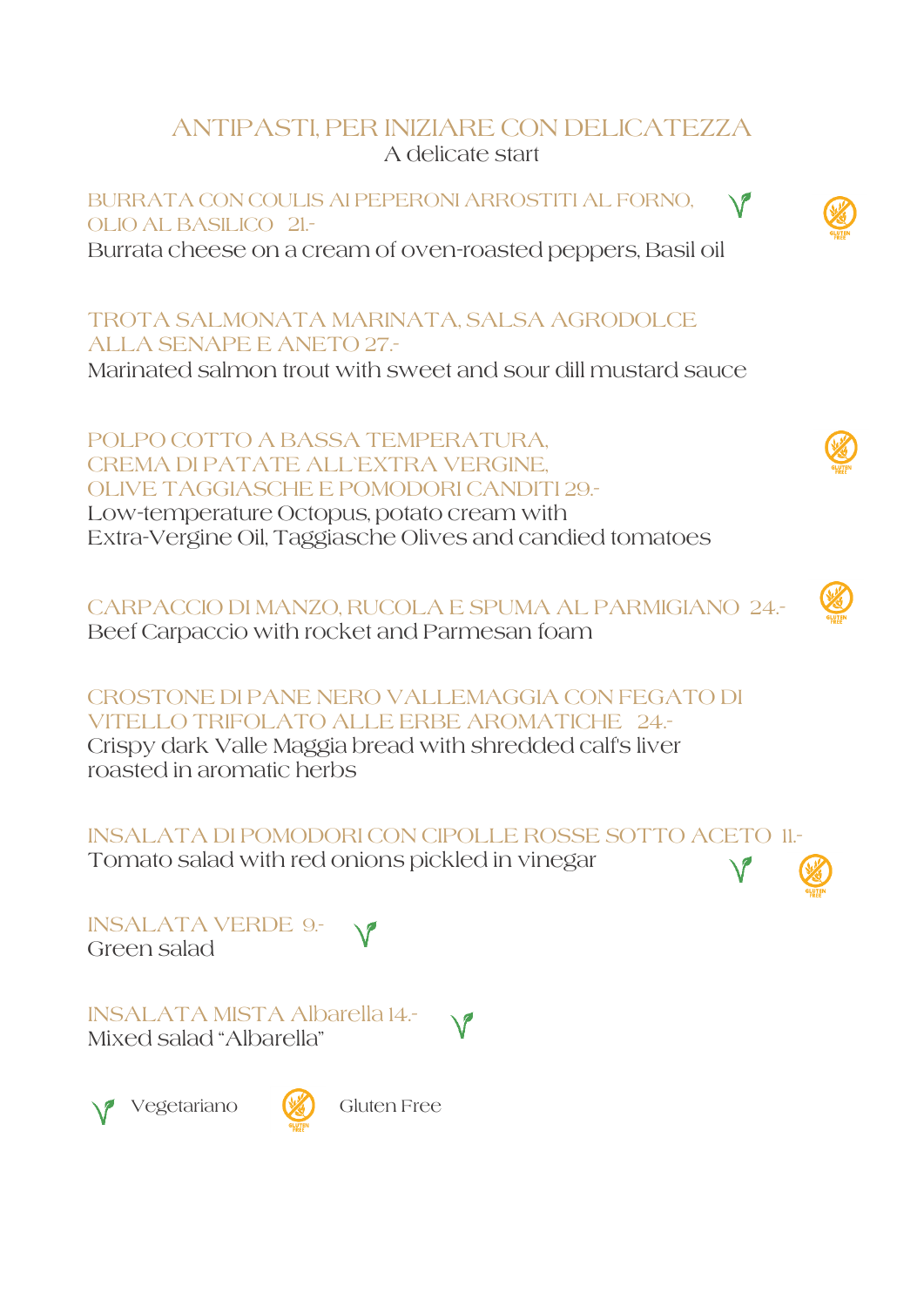## ANTIPASTI, PER INIZIARE CON DELICATEZZA A delicate start

BURRATA CON COULIS AI PEPERONI ARROSTITI AL FORNO, OLIO AL BASILICO 21.-

Burrata cheese on a cream of oven-roasted peppers, Basil oil

TROTA SALMONATA MARINATA, SALSA AGRODOLCE ALLA SENAPE E ANETO 27.-

Marinated salmon trout with sweet and sour dill mustard sauce

POLPO COTTO A BASSA TEMPERATURA, CREMA DI PATATE ALL`EXTRA VERGINE, OLIVE TAGGIASCHE E POMODORI CANDITI 29.- Low-temperature Octopus, potato cream with Extra-Vergine Oil, Taggiasche Olives and candied tomatoes

CARPACCIO DI MANZO, RUCOLA E SPUMA AL PARMIGIANO 24.- Beef Carpaccio with rocket and Parmesan foam

CROSTONE DI PANE NERO VALLEMAGGIA CON FEGATO DI VITELLO TRIFOLATO ALLE ERBE AROMATICHE 24.- Crispy dark Valle Maggia bread with shredded calf's liver

roasted in aromatic herbs

INSALATA DI POMODORI CON CIPOLLE ROSSE SOTTO ACETO 11.-

Tomato salad with red onions pickled in vinegar

INSALATA VERDE 9.- Green salad

INSALATA MISTA Albarella 14.- Mixed salad "Albarella"



Vegetariano (**)** Gluten Free



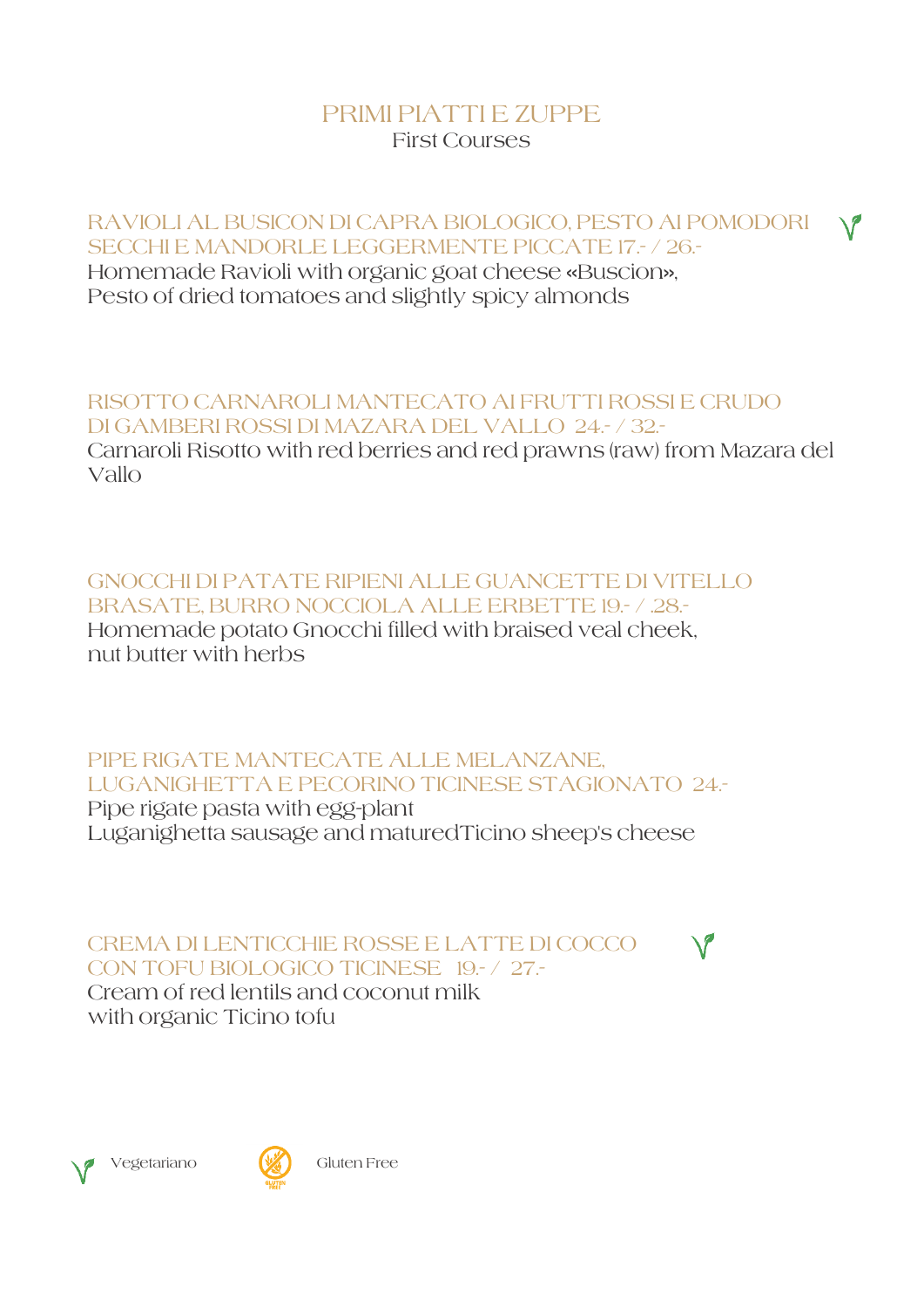## PRIMI PIATTI E ZUPPE First Courses

RAVIOLI AL BUSICON DI CAPRA BIOLOGICO, PESTO AI POMODORI SECCHI E MANDORLE LEGGERMENTE PICCATE 17.- / 26.- Homemade Ravioli with organic goat cheese «Buscion», Pesto of dried tomatoes and slightly spicy almonds

RISOTTO CARNAROLI MANTECATO AI FRUTTI ROSSI E CRUDO DI GAMBERI ROSSI DI MAZARA DEL VALLO 24.- / 32.- Carnaroli Risotto with red berries and red prawns (raw) from Mazara del Vallo

GNOCCHI DI PATATE RIPIENI ALLE GUANCETTE DI VITELLO BRASATE, BURRO NOCCIOLA ALLE ERBETTE 19.- / 28.-Homemade potato Gnocchi filled with braised veal cheek, nut butter with herbs

PIPE RIGATE MANTECATE ALLE MELANZANE, LUGANIGHETTA E PECORINO TICINESE STAGIONATO 24.- Pipe rigate pasta with egg-plant Luganighetta sausage and maturedTicino sheep's cheese

CREMA DI LENTICCHIE ROSSE E LATTE DI COCCO CON TOFU BIOLOGICO TICINESE 19.- / 27.- Cream of red lentils and coconut milk with organic Ticino tofu